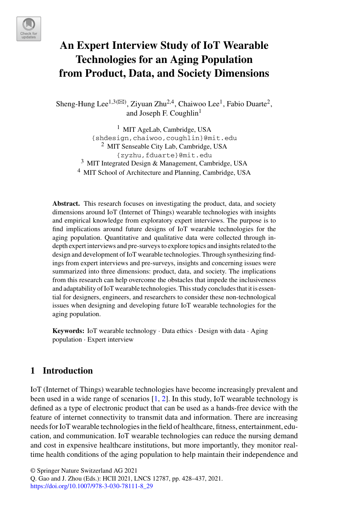

# **An Expert Interview Study of IoT Wearable Technologies for an Aging Population from Product, Data, and Society Dimensions**

Sheng-Hung Lee<sup>1,3( $\boxtimes$ )</sup>, Ziyuan Zhu<sup>2,4</sup>, Chaiwoo Lee<sup>1</sup>, Fabio Duarte<sup>2</sup>, and Joseph F. Coughlin<sup>1</sup>

<sup>1</sup> MIT AgeLab, Cambridge, USA {shdesign,chaiwoo,coughlin}@mit.edu <sup>2</sup> MIT Senseable City Lab, Cambridge, USA {zyzhu,fduarte}@mit.edu <sup>3</sup> MIT Integrated Design & Management, Cambridge, USA <sup>4</sup> MIT School of Architecture and Planning, Cambridge, USA

**Abstract.** This research focuses on investigating the product, data, and society dimensions around IoT (Internet of Things) wearable technologies with insights and empirical knowledge from exploratory expert interviews. The purpose is to find implications around future designs of IoT wearable technologies for the aging population. Quantitative and qualitative data were collected through indepth expert interviews and pre-surveys to explore topics and insights related to the design and development of IoT wearable technologies. Through synthesizing findings from expert interviews and pre-surveys, insights and concerning issues were summarized into three dimensions: product, data, and society. The implications from this research can help overcome the obstacles that impede the inclusiveness and adaptability of IoT wearable technologies. This study concludes that it is essential for designers, engineers, and researchers to consider these non-technological issues when designing and developing future IoT wearable technologies for the aging population.

**Keywords:** IoT wearable technology · Data ethics · Design with data · Aging population · Expert interview

## **1 Introduction**

IoT (Internet of Things) wearable technologies have become increasingly prevalent and been used in a wide range of scenarios  $[1, 2]$  $[1, 2]$  $[1, 2]$ . In this study, IoT wearable technology is defined as a type of electronic product that can be used as a hands-free device with the feature of internet connectivity to transmit data and information. There are increasing needs for IoT wearable technologies in the field of healthcare, fitness, entertainment, education, and communication. IoT wearable technologies can reduce the nursing demand and cost in expensive healthcare institutions, but more importantly, they monitor realtime health conditions of the aging population to help maintain their independence and

<sup>©</sup> Springer Nature Switzerland AG 2021

Q. Gao and J. Zhou (Eds.): HCII 2021, LNCS 12787, pp. 428–437, 2021. [https://doi.org/10.1007/978-3-030-78111-8\\_29](https://doi.org/10.1007/978-3-030-78111-8_29)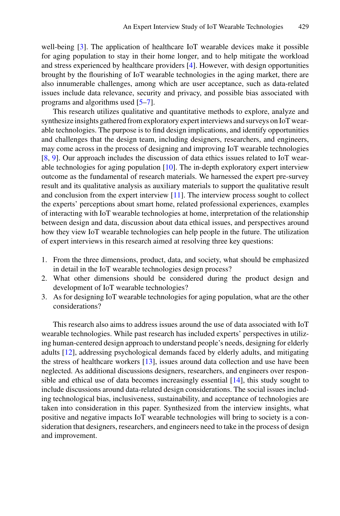well-being [\[3\]](#page-9-2). The application of healthcare IoT wearable devices make it possible for aging population to stay in their home longer, and to help mitigate the workload and stress experienced by healthcare providers [\[4\]](#page-9-3). However, with design opportunities brought by the flourishing of IoT wearable technologies in the aging market, there are also innumerable challenges, among which are user acceptance, such as data-related issues include data relevance, security and privacy, and possible bias associated with programs and algorithms used [\[5–](#page-9-4)[7\]](#page-9-5).

This research utilizes qualitative and quantitative methods to explore, analyze and synthesize insights gathered from exploratory expert interviews and surveys on IoT wearable technologies. The purpose is to find design implications, and identify opportunities and challenges that the design team, including designers, researchers, and engineers, may come across in the process of designing and improving IoT wearable technologies [\[8,](#page-9-6) [9\]](#page-9-7). Our approach includes the discussion of data ethics issues related to IoT wearable technologies for aging population [\[10\]](#page-9-8). The in-depth exploratory expert interview outcome as the fundamental of research materials. We harnessed the expert pre-survey result and its qualitative analysis as auxiliary materials to support the qualitative result and conclusion from the expert interview [\[11\]](#page-9-9). The interview process sought to collect the experts' perceptions about smart home, related professional experiences, examples of interacting with IoT wearable technologies at home, interpretation of the relationship between design and data, discussion about data ethical issues, and perspectives around how they view IoT wearable technologies can help people in the future. The utilization of expert interviews in this research aimed at resolving three key questions:

- 1. From the three dimensions, product, data, and society, what should be emphasized in detail in the IoT wearable technologies design process?
- 2. What other dimensions should be considered during the product design and development of IoT wearable technologies?
- 3. As for designing IoT wearable technologies for aging population, what are the other considerations?

This research also aims to address issues around the use of data associated with IoT wearable technologies. While past research has included experts' perspectives in utilizing human-centered design approach to understand people's needs, designing for elderly adults [\[12\]](#page-9-10), addressing psychological demands faced by elderly adults, and mitigating the stress of healthcare workers [\[13\]](#page-9-11), issues around data collection and use have been neglected. As additional discussions designers, researchers, and engineers over responsible and ethical use of data becomes increasingly essential [\[14\]](#page-9-12), this study sought to include discussions around data-related design considerations. The social issues including technological bias, inclusiveness, sustainability, and acceptance of technologies are taken into consideration in this paper. Synthesized from the interview insights, what positive and negative impacts IoT wearable technologies will bring to society is a consideration that designers, researchers, and engineers need to take in the process of design and improvement.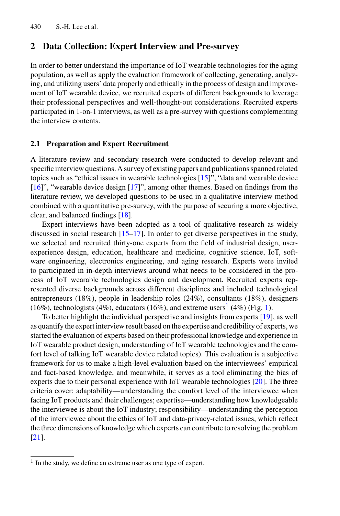### **2 Data Collection: Expert Interview and Pre-survey**

In order to better understand the importance of IoT wearable technologies for the aging population, as well as apply the evaluation framework of collecting, generating, analyzing, and utilizing users' data properly and ethically in the process of design and improvement of IoT wearable device, we recruited experts of different backgrounds to leverage their professional perspectives and well-thought-out considerations. Recruited experts participated in 1-on-1 interviews, as well as a pre-survey with questions complementing the interview contents.

#### **2.1 Preparation and Expert Recruitment**

A literature review and secondary research were conducted to develop relevant and specific interview questions. A survey of existing papers and publications spanned related topics such as "ethical issues in wearable technologies [\[15\]](#page-9-13)", "data and wearable device [\[16\]](#page-9-14)", "wearable device design [\[17\]](#page-9-15)", among other themes. Based on findings from the literature review, we developed questions to be used in a qualitative interview method combined with a quantitative pre-survey, with the purpose of securing a more objective, clear, and balanced findings [\[18\]](#page-9-16).

Expert interviews have been adopted as a tool of qualitative research as widely discussed in social research [\[15](#page-9-13)[–17\]](#page-9-15). In order to get diverse perspectives in the study, we selected and recruited thirty-one experts from the field of industrial design, userexperience design, education, healthcare and medicine, cognitive science, IoT, software engineering, electronics engineering, and aging research. Experts were invited to participated in in-depth interviews around what needs to be considered in the process of IoT wearable technologies design and development. Recruited experts represented diverse backgrounds across different disciplines and included technological entrepreneurs (18%), people in leadership roles (24%), consultants (18%), designers (16%), technologists (4%), educators (16%), and extreme users<sup>1</sup> (4%) (Fig. [1\)](#page-3-0).

To better highlight the individual perspective and insights from experts [\[19\]](#page-9-17), as well as quantify the expert interview result based on the expertise and credibility of experts, we started the evaluation of experts based on their professional knowledge and experience in IoT wearable product design, understanding of IoT wearable technologies and the comfort level of talking IoT wearable device related topics). This evaluation is a subjective framework for us to make a high-level evaluation based on the interviewees' empirical and fact-based knowledge, and meanwhile, it serves as a tool eliminating the bias of experts due to their personal experience with IoT wearable technologies [\[20\]](#page-9-18). The three criteria cover: adaptability—understanding the comfort level of the interviewee when facing IoT products and their challenges; expertise—understanding how knowledgeable the interviewee is about the IoT industry; responsibility—understanding the perception of the interviewee about the ethics of IoT and data-privacy-related issues, which reflect the three dimensions of knowledge which experts can contribute to resolving the problem [\[21\]](#page-9-19).

<span id="page-2-0"></span><sup>&</sup>lt;sup>1</sup> In the study, we define an extreme user as one type of expert.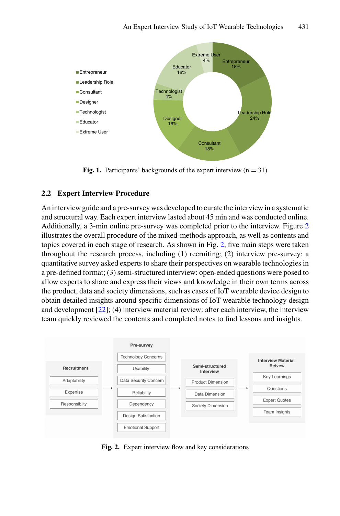

**Fig. 1.** Participants' backgrounds of the expert interview  $(n = 31)$ 

#### <span id="page-3-0"></span>**2.2 Expert Interview Procedure**

An interview guide and a pre-survey was developed to curate the interview in a systematic and structural way. Each expert interview lasted about 45 min and was conducted online. Additionally, a 3-min online pre-survey was completed prior to the interview. Figure [2](#page-3-1) illustrates the overall procedure of the mixed-methods approach, as well as contents and topics covered in each stage of research. As shown in Fig. [2,](#page-3-1) five main steps were taken throughout the research process, including (1) recruiting; (2) interview pre-survey: a quantitative survey asked experts to share their perspectives on wearable technologies in a pre-defined format; (3) semi-structured interview: open-ended questions were posed to allow experts to share and express their views and knowledge in their own terms across the product, data and society dimensions, such as cases of IoT wearable device design to obtain detailed insights around specific dimensions of IoT wearable technology design and development [\[22\]](#page-9-20); (4) interview material review: after each interview, the interview team quickly reviewed the contents and completed notes to find lessons and insights.



<span id="page-3-1"></span>Fig. 2. Expert interview flow and key considerations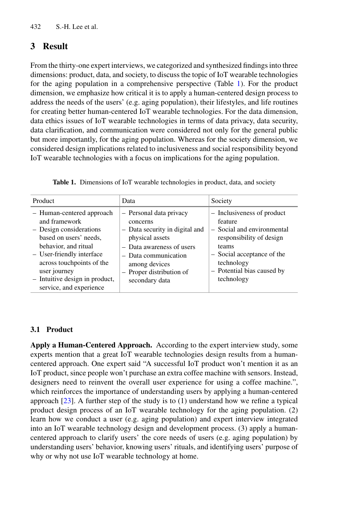# **3 Result**

From the thirty-one expert interviews, we categorized and synthesized findings into three dimensions: product, data, and society, to discuss the topic of IoT wearable technologies for the aging population in a comprehensive perspective (Table [1\)](#page-4-0). For the product dimension, we emphasize how critical it is to apply a human-centered design process to address the needs of the users' (e.g. aging population), their lifestyles, and life routines for creating better human-centered IoT wearable technologies. For the data dimension, data ethics issues of IoT wearable technologies in terms of data privacy, data security, data clarification, and communication were considered not only for the general public but more importantly, for the aging population. Whereas for the society dimension, we considered design implications related to inclusiveness and social responsibility beyond IoT wearable technologies with a focus on implications for the aging population.

<span id="page-4-0"></span>

| Product                                                                   | Data                                       | Society                                  |
|---------------------------------------------------------------------------|--------------------------------------------|------------------------------------------|
| - Human-centered approach                                                 | - Personal data privacy                    | - Inclusiveness of product               |
| and framework                                                             | concerns                                   | feature                                  |
| - Design considerations                                                   | - Data security in digital and             | - Social and environmental               |
| based on users' needs,                                                    | physical assets                            | responsibility of design                 |
| behavior, and ritual                                                      | - Data awareness of users                  | teams                                    |
| - User-friendly interface                                                 | $-$ Data communication                     | - Social acceptance of the               |
| across touchpoints of the                                                 | among devices                              | technology                               |
| user journey<br>- Intuitive design in product,<br>service, and experience | - Proper distribution of<br>secondary data | - Potential bias caused by<br>technology |

**Table 1.** Dimensions of IoT wearable technologies in product, data, and society

## **3.1 Product**

**Apply a Human-Centered Approach.** According to the expert interview study, some experts mention that a great IoT wearable technologies design results from a humancentered approach. One expert said "A successful IoT product won't mention it as an IoT product, since people won't purchase an extra coffee machine with sensors. Instead, designers need to reinvent the overall user experience for using a coffee machine.", which reinforces the importance of understanding users by applying a human-centered approach [\[23\]](#page-9-21). A further step of the study is to (1) understand how we refine a typical product design process of an IoT wearable technology for the aging population. (2) learn how we conduct a user (e.g. aging population) and expert interview integrated into an IoT wearable technology design and development process. (3) apply a humancentered approach to clarify users' the core needs of users (e.g. aging population) by understanding users' behavior, knowing users' rituals, and identifying users' purpose of why or why not use IoT wearable technology at home.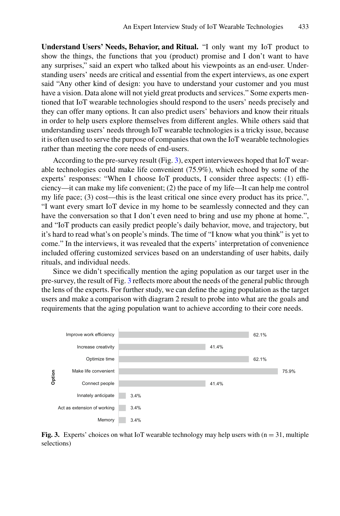**Understand Users' Needs, Behavior, and Ritual.** "I only want my IoT product to show the things, the functions that you (product) promise and I don't want to have any surprises," said an expert who talked about his viewpoints as an end-user. Understanding users' needs are critical and essential from the expert interviews, as one expert said "Any other kind of design: you have to understand your customer and you must have a vision. Data alone will not yield great products and services." Some experts mentioned that IoT wearable technologies should respond to the users' needs precisely and they can offer many options. It can also predict users' behaviors and know their rituals in order to help users explore themselves from different angles. While others said that understanding users' needs through IoT wearable technologies is a tricky issue, because it is often used to serve the purpose of companies that own the IoT wearable technologies rather than meeting the core needs of end-users.

According to the pre-survey result (Fig. [3\)](#page-5-0), expert interviewees hoped that IoT wearable technologies could make life convenient (75.9%), which echoed by some of the experts' responses: "When I choose IoT products, I consider three aspects: (1) efficiency—it can make my life convenient; (2) the pace of my life—It can help me control my life pace; (3) cost—this is the least critical one since every product has its price.", "I want every smart IoT device in my home to be seamlessly connected and they can have the conversation so that I don't even need to bring and use my phone at home.", and "IoT products can easily predict people's daily behavior, move, and trajectory, but it's hard to read what's on people's minds. The time of "I know what you think" is yet to come." In the interviews, it was revealed that the experts' interpretation of convenience included offering customized services based on an understanding of user habits, daily rituals, and individual needs.

Since we didn't specifically mention the aging population as our target user in the pre-survey, the result of Fig. [3](#page-5-0) reflects more about the needs of the general public through the lens of the experts. For further study, we can define the aging population as the target users and make a comparison with diagram 2 result to probe into what are the goals and requirements that the aging population want to achieve according to their core needs.



<span id="page-5-0"></span>**Fig. 3.** Experts' choices on what IoT wearable technology may help users with  $(n = 31$ , multiple selections)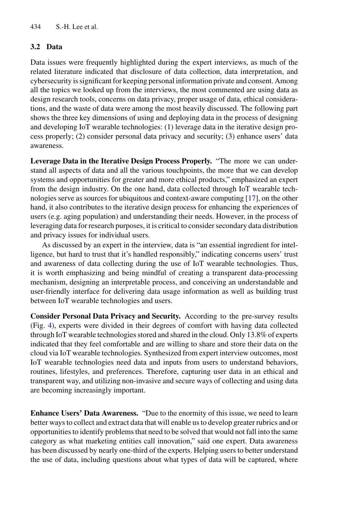### **3.2 Data**

Data issues were frequently highlighted during the expert interviews, as much of the related literature indicated that disclosure of data collection, data interpretation, and cybersecurity is significant for keeping personal information private and consent. Among all the topics we looked up from the interviews, the most commented are using data as design research tools, concerns on data privacy, proper usage of data, ethical considerations, and the waste of data were among the most heavily discussed. The following part shows the three key dimensions of using and deploying data in the process of designing and developing IoT wearable technologies: (1) leverage data in the iterative design process properly; (2) consider personal data privacy and security; (3) enhance users' data awareness.

**Leverage Data in the Iterative Design Process Properly.** "The more we can understand all aspects of data and all the various touchpoints, the more that we can develop systems and opportunities for greater and more ethical products," emphasized an expert from the design industry. On the one hand, data collected through IoT wearable technologies serve as sources for ubiquitous and context-aware computing [\[17\]](#page-9-15), on the other hand, it also contributes to the iterative design process for enhancing the experiences of users (e.g. aging population) and understanding their needs. However, in the process of leveraging data for research purposes, it is critical to consider secondary data distribution and privacy issues for individual users.

As discussed by an expert in the interview, data is "an essential ingredient for intelligence, but hard to trust that it's handled responsibly," indicating concerns users' trust and awareness of data collecting during the use of IoT wearable technologies. Thus, it is worth emphasizing and being mindful of creating a transparent data-processing mechanism, designing an interpretable process, and conceiving an understandable and user-friendly interface for delivering data usage information as well as building trust between IoT wearable technologies and users.

**Consider Personal Data Privacy and Security.** According to the pre-survey results (Fig. [4\)](#page-7-0), experts were divided in their degrees of comfort with having data collected through IoT wearable technologies stored and shared in the cloud. Only 13.8% of experts indicated that they feel comfortable and are willing to share and store their data on the cloud via IoT wearable technologies. Synthesized from expert interview outcomes, most IoT wearable technologies need data and inputs from users to understand behaviors, routines, lifestyles, and preferences. Therefore, capturing user data in an ethical and transparent way, and utilizing non-invasive and secure ways of collecting and using data are becoming increasingly important.

**Enhance Users' Data Awareness.** "Due to the enormity of this issue, we need to learn better ways to collect and extract data that will enable us to develop greater rubrics and or opportunities to identify problems that need to be solved that would not fall into the same category as what marketing entities call innovation," said one expert. Data awareness has been discussed by nearly one-third of the experts. Helping users to better understand the use of data, including questions about what types of data will be captured, where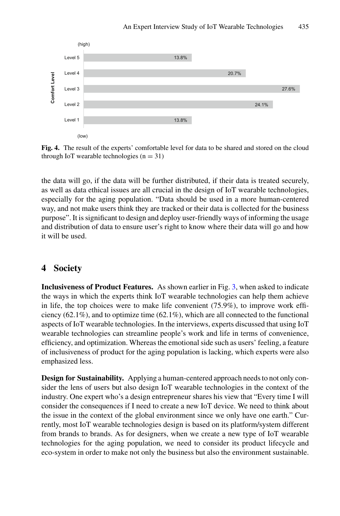

<span id="page-7-0"></span>**Fig. 4.** The result of the experts' comfortable level for data to be shared and stored on the cloud through IoT wearable technologies  $(n = 31)$ 

the data will go, if the data will be further distributed, if their data is treated securely, as well as data ethical issues are all crucial in the design of IoT wearable technologies, especially for the aging population. "Data should be used in a more human-centered way, and not make users think they are tracked or their data is collected for the business purpose". It is significant to design and deploy user-friendly ways of informing the usage and distribution of data to ensure user's right to know where their data will go and how it will be used.

## **4 Society**

**Inclusiveness of Product Features.** As shown earlier in Fig. [3,](#page-5-0) when asked to indicate the ways in which the experts think IoT wearable technologies can help them achieve in life, the top choices were to make life convenient (75.9%), to improve work efficiency  $(62.1\%)$ , and to optimize time  $(62.1\%)$ , which are all connected to the functional aspects of IoT wearable technologies. In the interviews, experts discussed that using IoT wearable technologies can streamline people's work and life in terms of convenience, efficiency, and optimization. Whereas the emotional side such as users' feeling, a feature of inclusiveness of product for the aging population is lacking, which experts were also emphasized less.

**Design for Sustainability.** Applying a human-centered approach needs to not only consider the lens of users but also design IoT wearable technologies in the context of the industry. One expert who's a design entrepreneur shares his view that "Every time I will consider the consequences if I need to create a new IoT device. We need to think about the issue in the context of the global environment since we only have one earth." Currently, most IoT wearable technologies design is based on its platform/system different from brands to brands. As for designers, when we create a new type of IoT wearable technologies for the aging population, we need to consider its product lifecycle and eco-system in order to make not only the business but also the environment sustainable.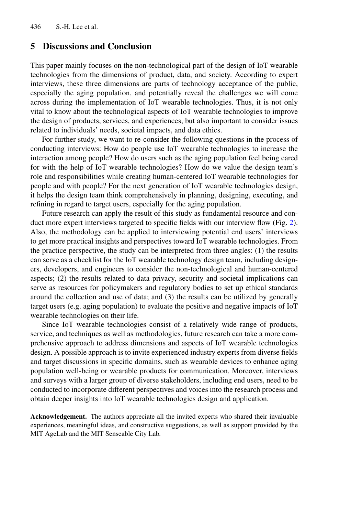#### **5 Discussions and Conclusion**

This paper mainly focuses on the non-technological part of the design of IoT wearable technologies from the dimensions of product, data, and society. According to expert interviews, these three dimensions are parts of technology acceptance of the public, especially the aging population, and potentially reveal the challenges we will come across during the implementation of IoT wearable technologies. Thus, it is not only vital to know about the technological aspects of IoT wearable technologies to improve the design of products, services, and experiences, but also important to consider issues related to individuals' needs, societal impacts, and data ethics.

For further study, we want to re-consider the following questions in the process of conducting interviews: How do people use IoT wearable technologies to increase the interaction among people? How do users such as the aging population feel being cared for with the help of IoT wearable technologies? How do we value the design team's role and responsibilities while creating human-centered IoT wearable technologies for people and with people? For the next generation of IoT wearable technologies design, it helps the design team think comprehensively in planning, designing, executing, and refining in regard to target users, especially for the aging population.

Future research can apply the result of this study as fundamental resource and conduct more expert interviews targeted to specific fields with our interview flow (Fig. [2\)](#page-3-1). Also, the methodology can be applied to interviewing potential end users' interviews to get more practical insights and perspectives toward IoT wearable technologies. From the practice perspective, the study can be interpreted from three angles: (1) the results can serve as a checklist for the IoT wearable technology design team, including designers, developers, and engineers to consider the non-technological and human-centered aspects; (2) the results related to data privacy, security and societal implications can serve as resources for policymakers and regulatory bodies to set up ethical standards around the collection and use of data; and (3) the results can be utilized by generally target users (e.g. aging population) to evaluate the positive and negative impacts of IoT wearable technologies on their life.

Since IoT wearable technologies consist of a relatively wide range of products, service, and techniques as well as methodologies, future research can take a more comprehensive approach to address dimensions and aspects of IoT wearable technologies design. A possible approach is to invite experienced industry experts from diverse fields and target discussions in specific domains, such as wearable devices to enhance aging population well-being or wearable products for communication. Moreover, interviews and surveys with a larger group of diverse stakeholders, including end users, need to be conducted to incorporate different perspectives and voices into the research process and obtain deeper insights into IoT wearable technologies design and application.

**Acknowledgement.** The authors appreciate all the invited experts who shared their invaluable experiences, meaningful ideas, and constructive suggestions, as well as support provided by the MIT AgeLab and the MIT Senseable City Lab.